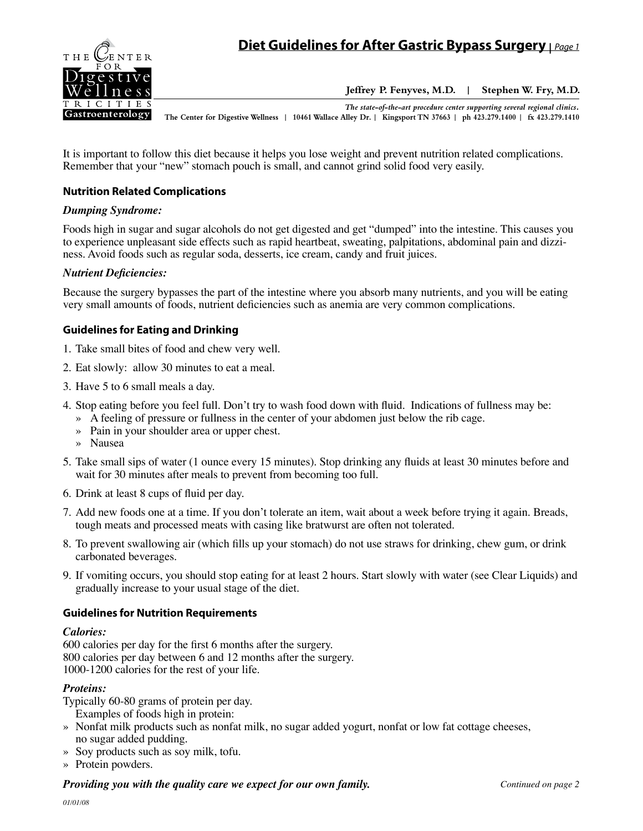

**Jeffrey P. Fenyves, M.D. | Stephen W. Fry, M.D.**

*The state-of-the-art procedure center supporting several regional clinics.* **The Center for Digestive Wellness | 10461 Wallace Alley Dr. | Kingsport TN 37663 | ph 423.279.1400 | fx 423.279.1410**

It is important to follow this diet because it helps you lose weight and prevent nutrition related complications. Remember that your "new" stomach pouch is small, and cannot grind solid food very easily.

## **Nutrition Related Complications**

#### *Dumping Syndrome:*

Foods high in sugar and sugar alcohols do not get digested and get "dumped" into the intestine. This causes you to experience unpleasant side effects such as rapid heartbeat, sweating, palpitations, abdominal pain and dizziness. Avoid foods such as regular soda, desserts, ice cream, candy and fruit juices.

## *Nutrient Deficiencies:*

Because the surgery bypasses the part of the intestine where you absorb many nutrients, and you will be eating very small amounts of foods, nutrient deficiencies such as anemia are very common complications.

## **Guidelines for Eating and Drinking**

- 1. Take small bites of food and chew very well.
- 2. Eat slowly: allow 30 minutes to eat a meal.
- 3. Have 5 to 6 small meals a day.
- 4. Stop eating before you feel full. Don't try to wash food down with fluid. Indications of fullness may be:
	- » A feeling of pressure or fullness in the center of your abdomen just below the rib cage.
	- » Pain in your shoulder area or upper chest.
	- » Nausea
- 5. Take small sips of water (1 ounce every 15 minutes). Stop drinking any fluids at least 30 minutes before and wait for 30 minutes after meals to prevent from becoming too full.
- 6. Drink at least 8 cups of fluid per day.
- 7. Add new foods one at a time. If you don't tolerate an item, wait about a week before trying it again. Breads, tough meats and processed meats with casing like bratwurst are often not tolerated.
- 8. To prevent swallowing air (which fills up your stomach) do not use straws for drinking, chew gum, or drink carbonated beverages.
- 9. If vomiting occurs, you should stop eating for at least 2 hours. Start slowly with water (see Clear Liquids) and gradually increase to your usual stage of the diet.

## **Guidelines for Nutrition Requirements**

#### *Calories:*

600 calories per day for the first 6 months after the surgery. 800 calories per day between 6 and 12 months after the surgery. 1000-1200 calories for the rest of your life.

## *Proteins:*

Typically 60-80 grams of protein per day. Examples of foods high in protein:

- » Nonfat milk products such as nonfat milk, no sugar added yogurt, nonfat or low fat cottage cheeses, no sugar added pudding.
- » Soy products such as soy milk, tofu.
- » Protein powders.

## **Providing you with the quality care we expect for our own family. Continued on page 2 Continued on page 2**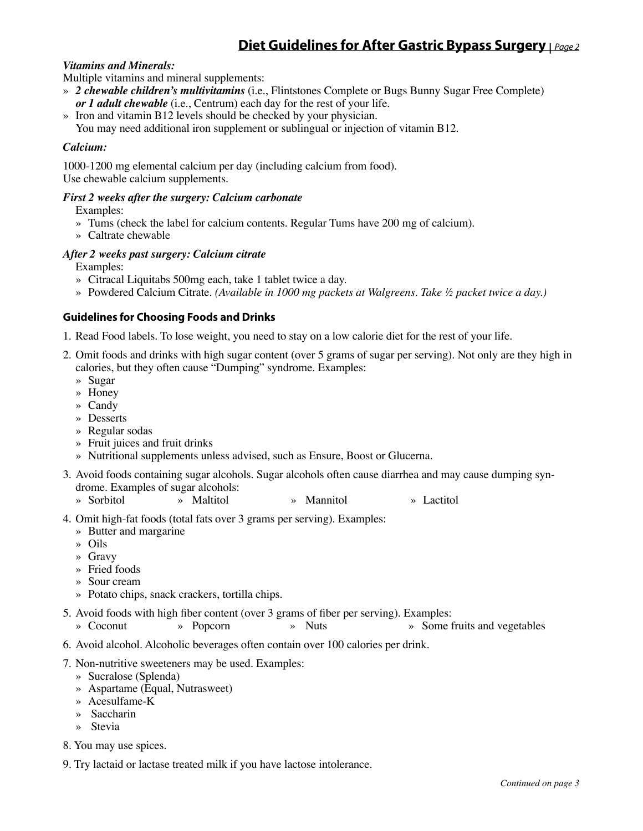# **Diet Guidelines for After Gastric Bypass Surgery |** *Page 2*

## *Vitamins and Minerals:*

Multiple vitamins and mineral supplements:

- » *2 chewable children's multivitamins* (i.e., Flintstones Complete or Bugs Bunny Sugar Free Complete) *or 1 adult chewable* (i.e., Centrum) each day for the rest of your life.
- » Iron and vitamin B12 levels should be checked by your physician. You may need additional iron supplement or sublingual or injection of vitamin B12.

#### *Calcium:*

1000-1200 mg elemental calcium per day (including calcium from food). Use chewable calcium supplements.

#### *First 2 weeks after the surgery: Calcium carbonate*

Examples:

- » Tums (check the label for calcium contents. Regular Tums have 200 mg of calcium).
- » Caltrate chewable

## *After 2 weeks past surgery: Calcium citrate*

Examples:

- » Citracal Liquitabs 500mg each, take 1 tablet twice a day.
- » Powdered Calcium Citrate. *(Available in 1000 mg packets at Walgreens. Take ½ packet twice a day.)*

## **Guidelines for Choosing Foods and Drinks**

- 1. Read Food labels. To lose weight, you need to stay on a low calorie diet for the rest of your life.
- 2. Omit foods and drinks with high sugar content (over 5 grams of sugar per serving). Not only are they high in calories, but they often cause "Dumping" syndrome. Examples:
	- » Sugar
	- » Honey
	- » Candy
	- » Desserts
	- » Regular sodas
	- » Fruit juices and fruit drinks
	- » Nutritional supplements unless advised, such as Ensure, Boost or Glucerna.
- 3. Avoid foods containing sugar alcohols. Sugar alcohols often cause diarrhea and may cause dumping syndrome. Examples of sugar alcohols:
	- » Sorbitol » Maltitol » Mannitol » Lactitol
- 4. Omit high-fat foods (total fats over 3 grams per serving). Examples:
	- » Butter and margarine
	- » Oils
	- » Gravy
	- » Fried foods
	- » Sour cream
	- » Potato chips, snack crackers, tortilla chips.
- 5. Avoid foods with high fiber content (over 3 grams of fiber per serving). Examples:
	- » Coconut » Popcorn » Nuts » Some fruits and vegetables
- 6. Avoid alcohol. Alcoholic beverages often contain over 100 calories per drink.
- 7. Non-nutritive sweeteners may be used. Examples:
	- » Sucralose (Splenda)
	- » Aspartame (Equal, Nutrasweet)
	- » Acesulfame-K
	- » Saccharin
	- » Stevia
- 8. You may use spices.
- 9. Try lactaid or lactase treated milk if you have lactose intolerance.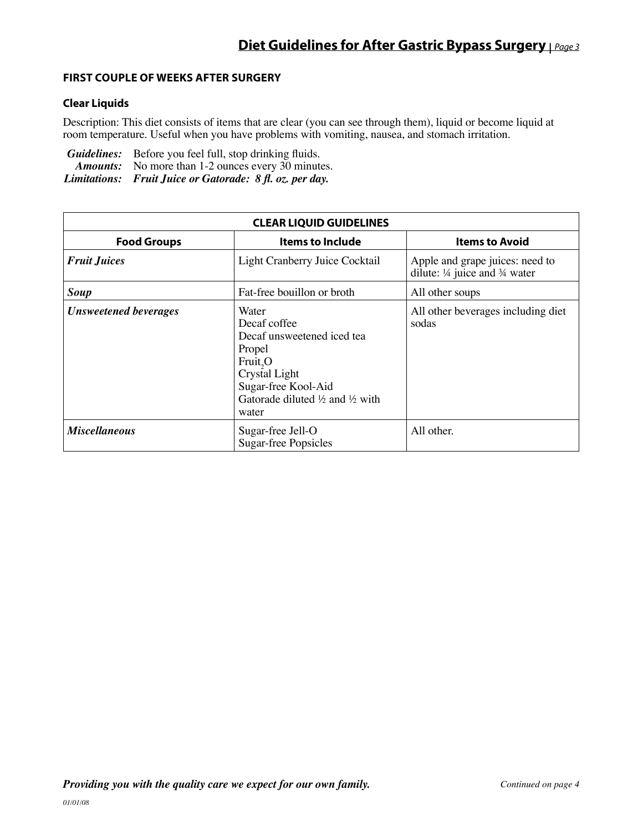## **First Couple of Weeks After Surgery**

## **Clear Liquids**

Description: This diet consists of items that are clear (you can see through them), liquid or become liquid at room temperature. Useful when you have problems with vomiting, nausea, and stomach irritation.

*Guidelines:* Before you feel full, stop drinking fluids. Amounts: No more than 1-2 ounces every 30 minutes. *Limitations: Fruit Juice or Gatorade: 8 fl. oz. per day.*

| <b>CLEAR LIQUID GUIDELINES</b> |                                                                                                                                                                                     |                                                                                        |  |  |  |
|--------------------------------|-------------------------------------------------------------------------------------------------------------------------------------------------------------------------------------|----------------------------------------------------------------------------------------|--|--|--|
| <b>Food Groups</b>             | <b>Items to Include</b>                                                                                                                                                             | <b>Items to Avoid</b>                                                                  |  |  |  |
| <b>Fruit Juices</b>            | Light Cranberry Juice Cocktail                                                                                                                                                      | Apple and grape juices: need to<br>dilute: $\frac{1}{4}$ juice and $\frac{3}{4}$ water |  |  |  |
| Soup                           | Fat-free bouillon or broth                                                                                                                                                          | All other soups                                                                        |  |  |  |
| <b>Unsweetened beverages</b>   | Water<br>Decaf coffee<br>Decaf unsweetened iced tea<br>Propel<br>Fruit, O<br>Crystal Light<br>Sugar-free Kool-Aid<br>Gatorade diluted $\frac{1}{2}$ and $\frac{1}{2}$ with<br>water | All other beverages including diet<br>sodas                                            |  |  |  |
| <b>Miscellaneous</b>           | Sugar-free Jell-O<br><b>Sugar-free Popsicles</b>                                                                                                                                    | All other.                                                                             |  |  |  |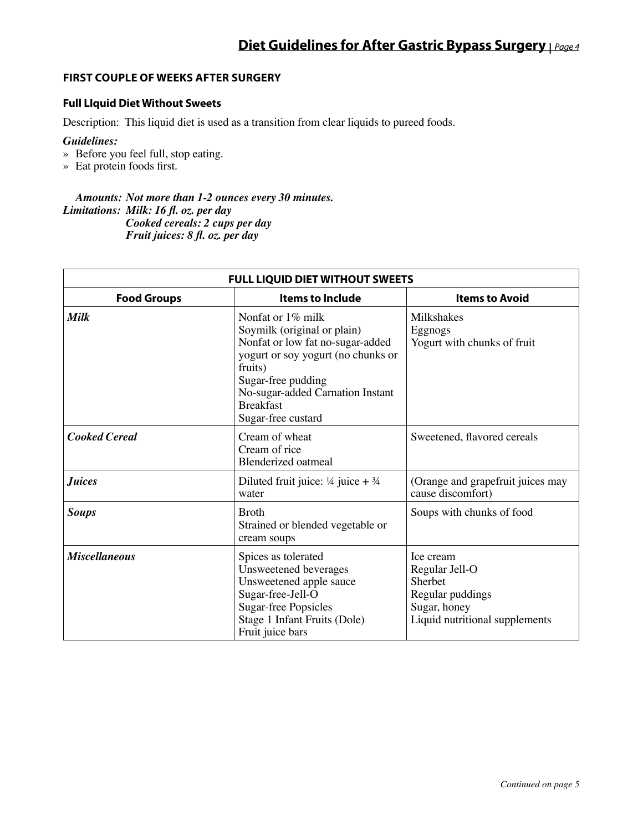## **First Couple of Weeks After Surgery**

## **Full LIquid Diet Without Sweets**

Description: This liquid diet is used as a transition from clear liquids to pureed foods.

#### *Guidelines:*

- » Before you feel full, stop eating.
- » Eat protein foods first.

#### *Amounts: Not more than 1-2 ounces every 30 minutes. Limitations: Milk: 16 fl. oz. per day Cooked cereals: 2 cups per day Fruit juices: 8 fl. oz. per day*

| <b>FULL LIQUID DIET WITHOUT SWEETS</b> |                                                                                                                                                                                                                                           |                                                                                                              |  |  |  |  |
|----------------------------------------|-------------------------------------------------------------------------------------------------------------------------------------------------------------------------------------------------------------------------------------------|--------------------------------------------------------------------------------------------------------------|--|--|--|--|
| <b>Food Groups</b>                     | <b>Items to Include</b>                                                                                                                                                                                                                   | <b>Items to Avoid</b>                                                                                        |  |  |  |  |
| <b>Milk</b>                            | Nonfat or 1% milk<br>Soymilk (original or plain)<br>Nonfat or low fat no-sugar-added<br>yogurt or soy yogurt (no chunks or<br>fruits)<br>Sugar-free pudding<br>No-sugar-added Carnation Instant<br><b>Breakfast</b><br>Sugar-free custard | Milkshakes<br>Eggnogs<br>Yogurt with chunks of fruit                                                         |  |  |  |  |
| <b>Cooked Cereal</b>                   | Cream of wheat<br>Cream of rice<br><b>Blenderized oatmeal</b>                                                                                                                                                                             | Sweetened, flavored cereals                                                                                  |  |  |  |  |
| <b>Juices</b>                          | Diluted fruit juice: $\frac{1}{4}$ juice + $\frac{3}{4}$<br>water                                                                                                                                                                         | (Orange and grapefruit juices may<br>cause discomfort)                                                       |  |  |  |  |
| <b>Soups</b>                           | <b>Broth</b><br>Strained or blended vegetable or<br>cream soups                                                                                                                                                                           | Soups with chunks of food                                                                                    |  |  |  |  |
| <b>Miscellaneous</b>                   | Spices as tolerated<br>Unsweetened beverages<br>Unsweetened apple sauce<br>Sugar-free-Jell-O<br><b>Sugar-free Popsicles</b><br>Stage 1 Infant Fruits (Dole)<br>Fruit juice bars                                                           | Ice cream<br>Regular Jell-O<br>Sherbet<br>Regular puddings<br>Sugar, honey<br>Liquid nutritional supplements |  |  |  |  |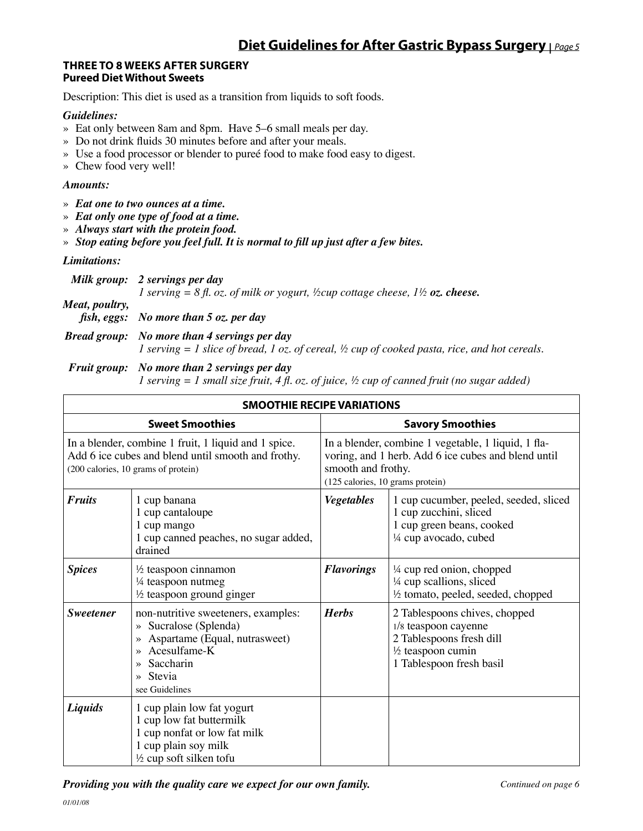## **Three to 8 Weeks After Surgery Pureed Diet Without Sweets**

Description: This diet is used as a transition from liquids to soft foods.

## *Guidelines:*

- » Eat only between 8am and 8pm. Have 5–6 small meals per day.
- » Do not drink fluids 30 minutes before and after your meals.
- » Use a food processor or blender to pureé food to make food easy to digest.
- » Chew food very well!

## *Amounts:*

- » *Eat one to two ounces at a time.*
- » *Eat only one type of food at a time.*
- » *Always start with the protein food.*
- » *Stop eating before you feel full. It is normal to fill up just after a few bites.*

## *Limitations:*

|                | Milk group: 2 servings per day                                                                             |
|----------------|------------------------------------------------------------------------------------------------------------|
|                | <i>l</i> serving = 8 fl. oz. of milk or yogurt, ½cup cottage cheese, $1\frac{1}{2}$ <b>oz. cheese.</b>     |
| Meat, poultry, | fish, eggs: No more than $5$ oz. per day                                                                   |
|                | <b>Bread group:</b> No more than 4 servings per day                                                        |
|                | 1 serving $=$ 1 slice of bread, 1 oz. of cereal, $\frac{1}{2}$ cup of cooked pasta, rice, and hot cereals. |

#### *Fruit group: No more than 2 servings per day*

 *1 serving = 1 small size fruit, 4 fl. oz. of juice, ½ cup of canned fruit (no sugar added)*

| <b>SMOOTHIE RECIPE VARIATIONS</b>                                                                                                                 |                                                                                                                                                                                                                |                                                                                                                                                                      |                                                                                                                                               |  |  |
|---------------------------------------------------------------------------------------------------------------------------------------------------|----------------------------------------------------------------------------------------------------------------------------------------------------------------------------------------------------------------|----------------------------------------------------------------------------------------------------------------------------------------------------------------------|-----------------------------------------------------------------------------------------------------------------------------------------------|--|--|
| <b>Sweet Smoothies</b>                                                                                                                            |                                                                                                                                                                                                                | <b>Savory Smoothies</b>                                                                                                                                              |                                                                                                                                               |  |  |
| In a blender, combine 1 fruit, 1 liquid and 1 spice.<br>Add 6 ice cubes and blend until smooth and frothy.<br>(200 calories, 10 grams of protein) |                                                                                                                                                                                                                | In a blender, combine 1 vegetable, 1 liquid, 1 fla-<br>voring, and 1 herb. Add 6 ice cubes and blend until<br>smooth and frothy.<br>(125 calories, 10 grams protein) |                                                                                                                                               |  |  |
| <b>Fruits</b>                                                                                                                                     | 1 cup banana<br>1 cup cantaloupe<br>1 cup mango<br>1 cup canned peaches, no sugar added,<br>drained                                                                                                            | <b>Vegetables</b>                                                                                                                                                    | 1 cup cucumber, peeled, seeded, sliced<br>1 cup zucchini, sliced<br>1 cup green beans, cooked<br>1/4 cup avocado, cubed                       |  |  |
| <b>Spices</b>                                                                                                                                     | $\frac{1}{2}$ teaspoon cinnamon<br>1/4 teaspoon nutmeg<br>$\frac{1}{2}$ teaspoon ground ginger                                                                                                                 | <b>Flavorings</b>                                                                                                                                                    | 1/4 cup red onion, chopped<br>1/4 cup scallions, sliced<br>1/2 tomato, peeled, seeded, chopped                                                |  |  |
| <b>Sweetener</b>                                                                                                                                  | non-nutritive sweeteners, examples:<br>» Sucralose (Splenda)<br>Aspartame (Equal, nutrasweet)<br>»<br>Acesulfame-K<br>$\rightarrow$<br>Saccharin<br>$\rightarrow$<br>Stevia<br>$\rightarrow$<br>see Guidelines | <b>Herbs</b>                                                                                                                                                         | 2 Tablespoons chives, chopped<br>1/8 teaspoon cayenne<br>2 Tablespoons fresh dill<br>$\frac{1}{2}$ teaspoon cumin<br>1 Tablespoon fresh basil |  |  |
| Liquids                                                                                                                                           | 1 cup plain low fat yogurt<br>1 cup low fat buttermilk<br>1 cup nonfat or low fat milk<br>1 cup plain soy milk<br>$\frac{1}{2}$ cup soft silken tofu                                                           |                                                                                                                                                                      |                                                                                                                                               |  |  |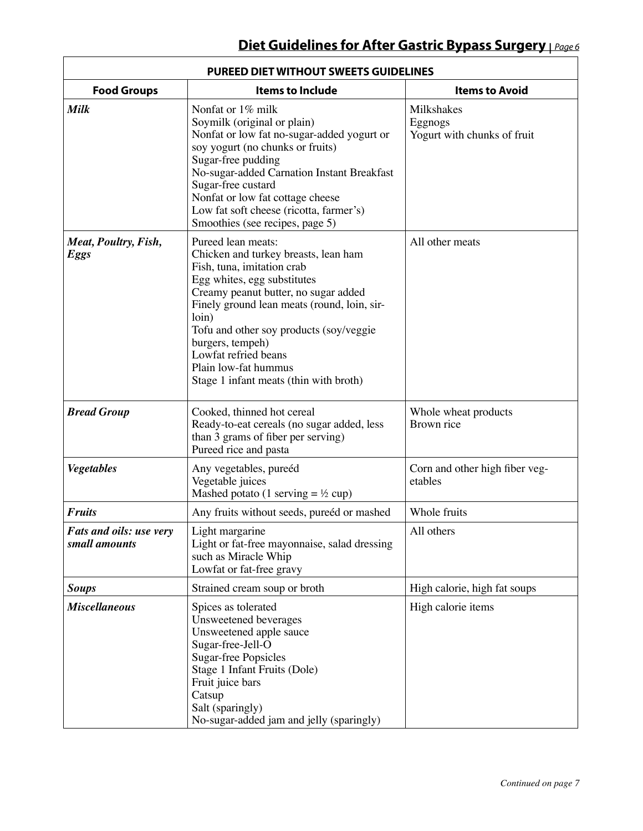| <b>PUREED DIET WITHOUT SWEETS GUIDELINES</b> |                                                                                                                                                                                                                                                                                                                                                                                  |                                                      |  |  |
|----------------------------------------------|----------------------------------------------------------------------------------------------------------------------------------------------------------------------------------------------------------------------------------------------------------------------------------------------------------------------------------------------------------------------------------|------------------------------------------------------|--|--|
| <b>Food Groups</b>                           | <b>Items to Include</b>                                                                                                                                                                                                                                                                                                                                                          | <b>Items to Avoid</b>                                |  |  |
| <b>Milk</b>                                  | Nonfat or 1% milk<br>Soymilk (original or plain)<br>Nonfat or low fat no-sugar-added yogurt or<br>soy yogurt (no chunks or fruits)<br>Sugar-free pudding<br>No-sugar-added Carnation Instant Breakfast<br>Sugar-free custard<br>Nonfat or low fat cottage cheese<br>Low fat soft cheese (ricotta, farmer's)<br>Smoothies (see recipes, page 5)                                   | Milkshakes<br>Eggnogs<br>Yogurt with chunks of fruit |  |  |
| Meat, Poultry, Fish,<br><b>Eggs</b>          | Pureed lean meats:<br>Chicken and turkey breasts, lean ham<br>Fish, tuna, imitation crab<br>Egg whites, egg substitutes<br>Creamy peanut butter, no sugar added<br>Finely ground lean meats (round, loin, sir-<br>loin)<br>Tofu and other soy products (soy/veggie<br>burgers, tempeh)<br>Lowfat refried beans<br>Plain low-fat hummus<br>Stage 1 infant meats (thin with broth) | All other meats                                      |  |  |
| <b>Bread Group</b>                           | Cooked, thinned hot cereal<br>Ready-to-eat cereals (no sugar added, less<br>than 3 grams of fiber per serving)<br>Pureed rice and pasta                                                                                                                                                                                                                                          | Whole wheat products<br>Brown rice                   |  |  |
| <b>Vegetables</b>                            | Any vegetables, pureéd<br>Vegetable juices<br>Mashed potato (1 serving $=$ ½ cup)                                                                                                                                                                                                                                                                                                | Corn and other high fiber veg-<br>etables            |  |  |
| <b>Fruits</b>                                | Any fruits without seeds, pureéd or mashed                                                                                                                                                                                                                                                                                                                                       | Whole fruits                                         |  |  |
| Fats and oils: use very<br>small amounts     | Light margarine<br>Light or fat-free mayonnaise, salad dressing<br>such as Miracle Whip<br>Lowfat or fat-free gravy                                                                                                                                                                                                                                                              | All others                                           |  |  |
| <b>Soups</b>                                 | Strained cream soup or broth                                                                                                                                                                                                                                                                                                                                                     | High calorie, high fat soups                         |  |  |
| <b>Miscellaneous</b>                         | Spices as tolerated<br>Unsweetened beverages<br>Unsweetened apple sauce<br>Sugar-free-Jell-O<br><b>Sugar-free Popsicles</b><br>Stage 1 Infant Fruits (Dole)<br>Fruit juice bars<br>Catsup<br>Salt (sparingly)<br>No-sugar-added jam and jelly (sparingly)                                                                                                                        | High calorie items                                   |  |  |

Г